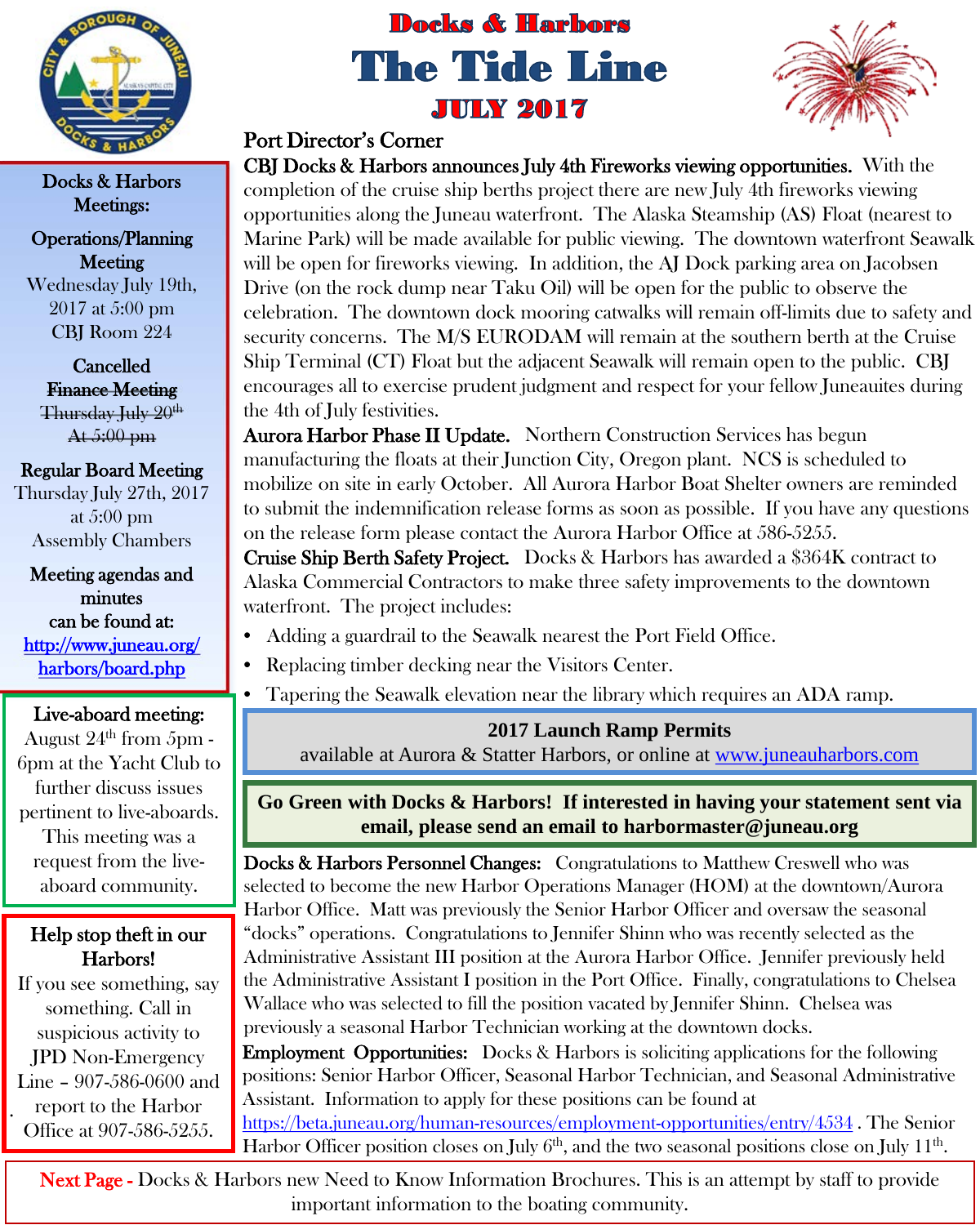

Docks & Harbors Meetings:

Operations/Planning **Meeting** Wednesday July 19th, 2017 at 5:00 pm CBJ Room 224

Cancelled Finance Meeting Thursday July 20<sup>th</sup> At 5:00 pm

### Regular Board Meeting

Thursday July 27th, 2017 at 5:00 pm Assembly Chambers

Meeting agendas and minutes can be found at: [http://www.juneau.org/](http://www.juneau.org/harbors/board.php)  [harbors/board.php](http://www.juneau.org/harbors/board.php) 

### Live-aboard meeting:

August  $24^{\text{th}}$  from 5pm -6pm at the Yacht Club to further discuss issues pertinent to live-aboards. This meeting was a request from the liveaboard community.

### Help stop theft in our Harbors!

. If you see something, say something. Call in suspicious activity to JPD Non-Emergency Line – 907-586-0600 and report to the Harbor Office at 907-586-5255.

# **Docks & Harbors The Tide Line JULY 2017**



### Port Director's Corner

CBJ Docks & Harbors announces July 4th Fireworks viewing opportunities. With the completion of the cruise ship berths project there are new July 4th fireworks viewing opportunities along the Juneau waterfront. The Alaska Steamship (AS) Float (nearest to Marine Park) will be made available for public viewing. The downtown waterfront Seawalk will be open for fireworks viewing. In addition, the AJ Dock parking area on Jacobsen Drive (on the rock dump near Taku Oil) will be open for the public to observe the celebration. The downtown dock mooring catwalks will remain off-limits due to safety and security concerns. The M/S EURODAM will remain at the southern berth at the Cruise Ship Terminal (CT) Float but the adjacent Seawalk will remain open to the public. CBJ encourages all to exercise prudent judgment and respect for your fellow Juneauites during the 4th of July festivities.

Aurora Harbor Phase II Update. Northern Construction Services has begun manufacturing the floats at their Junction City, Oregon plant. NCS is scheduled to mobilize on site in early October. All Aurora Harbor Boat Shelter owners are reminded to submit the indemnification release forms as soon as possible. If you have any questions on the release form please contact the Aurora Harbor Office at 586-5255.

Cruise Ship Berth Safety Project. Docks & Harbors has awarded a \$364K contract to Alaska Commercial Contractors to make three safety improvements to the downtown waterfront. The project includes:

- Adding a guardrail to the Seawalk nearest the Port Field Office.
- Replacing timber decking near the Visitors Center.
	- Tapering the Seawalk elevation near the library which requires an ADA ramp.

### **2017 Launch Ramp Permits**

available at Aurora & Statter Harbors, or online at [www.juneauharbors.com](http://www.juneauharbors.com/)

**Go Green with Docks & Harbors! If interested in having your statement sent via email, please send an email to harbormaster@juneau.org**

Docks & Harbors Personnel Changes: Congratulations to Matthew Creswell who was selected to become the new Harbor Operations Manager (HOM) at the downtown/Aurora Harbor Office. Matt was previously the Senior Harbor Officer and oversaw the seasonal "docks" operations. Congratulations to Jennifer Shinn who was recently selected as the Administrative Assistant III position at the Aurora Harbor Office. Jennifer previously held the Administrative Assistant I position in the Port Office. Finally, congratulations to Chelsea Wallace who was selected to fill the position vacated by Jennifer Shinn. Chelsea was previously a seasonal Harbor Technician working at the downtown docks. Employment Opportunities: Docks & Harbors is soliciting applications for the following

positions: Senior Harbor Officer, Seasonal Harbor Technician, and Seasonal Administrative Assistant. Information to apply for these positions can be found at

<https://beta.juneau.org/human-resources/employment-opportunities/entry/4534> . The Senior Harbor Officer position closes on July  $6<sup>th</sup>$ , and the two seasonal positions close on July  $11<sup>th</sup>$ .

**Next Page -** Docks & Harbors new Need to Know Information Brochures. This is an attempt by staff to provide important information to the boating community.